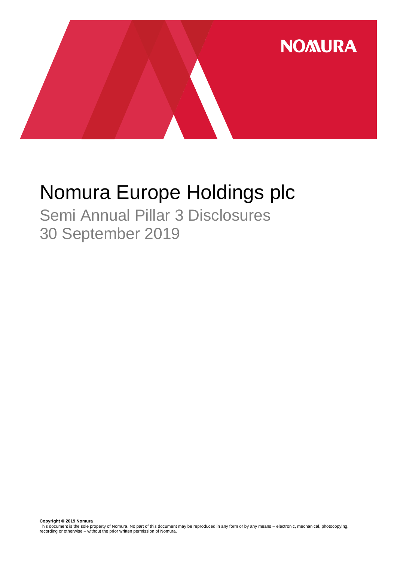

# Nomura Europe Holdings plc

Semi Annual Pillar 3 Disclosures 30 September 2019

**Copyright © 2019 Nomura**<br>This document is the sole property of Nomura. No part of this document may be reproduced in any form or by any means – electronic, mechanical, photocopying,<br>recording or otherwise – without the pr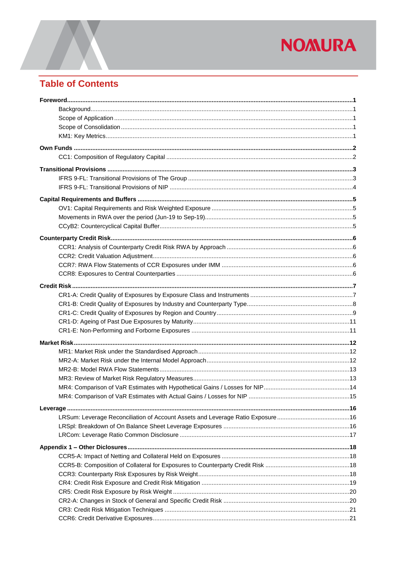## **Table of Contents**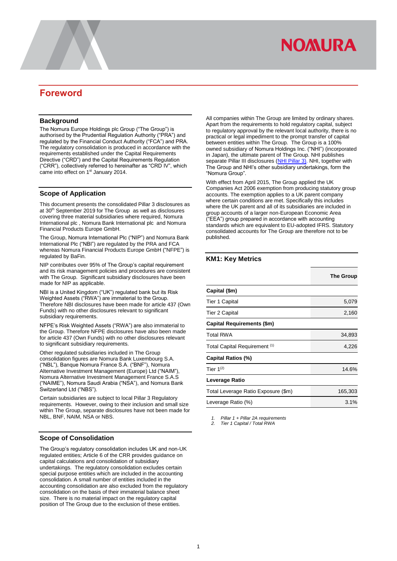## <span id="page-2-0"></span>**Foreword**

### <span id="page-2-1"></span>**Background**

The Nomura Europe Holdings plc Group ("The Group") is authorised by the Prudential Regulation Authority ("PRA") and regulated by the Financial Conduct Authority ("FCA") and PRA. The regulatory consolidation is produced in accordance with the requirements established under the Capital Requirements Directive ("CRD") and the Capital Requirements Regulation ("CRR"), collectively referred to hereinafter as "CRD IV", which came into effect on 1<sup>st</sup> January 2014.

### <span id="page-2-2"></span>**Scope of Application**

This document presents the consolidated Pillar 3 disclosures as at 30th September 2019 for The Group as well as disclosures covering three material subsidiaries where required, Nomura International plc , Nomura Bank International plc and Nomura Financial Products Europe GmbH.

The Group, Nomura International Plc ("NIP") and Nomura Bank International Plc ("NBI") are regulated by the PRA and FCA whereas Nomura Financial Products Europe GmbH ("NFPE") is regulated by BaFin.

NIP contributes over 95% of The Group's capital requirement and its risk management policies and procedures are consistent with The Group. Significant subsidiary disclosures have been made for NIP as applicable.

NBI is a United Kingdom ("UK") regulated bank but its Risk Weighted Assets ("RWA") are immaterial to the Group. Therefore NBI disclosures have been made for article 437 (Own Funds) with no other disclosures relevant to significant subsidiary requirements.

NFPE's Risk Weighted Assets ("RWA") are also immaterial to the Group. Therefore NFPE disclosures have also been made for article 437 (Own Funds) with no other disclosures relevant to significant subsidiary requirements.

Other regulated subsidiaries included in The Group consolidation figures are Nomura Bank Luxembourg S.A. ("NBL"), Banque Nomura France S.A. ("BNF"), Nomura Alternative Investment Management (Europe) Ltd ("NAIM"), Nomura Alternative Investment Management France S.A.S ("NAIME"), Nomura Saudi Arabia ("NSA"), and Nomura Bank Switzerland Ltd ("NBS").

Certain subsidiaries are subject to local Pillar 3 Regulatory requirements. However, owing to their inclusion and small size within The Group, separate disclosures have not been made for NBL, BNF, NAIM, NSA or NBS.

### <span id="page-2-3"></span>**Scope of Consolidation**

The Group's regulatory consolidation includes UK and non-UK regulated entities; Article 6 of the CRR provides guidance on capital calculations and consolidation of subsidiary undertakings. The regulatory consolidation excludes certain special purpose entities which are included in the accounting consolidation. A small number of entities included in the accounting consolidation are also excluded from the regulatory consolidation on the basis of their immaterial balance sheet size. There is no material impact on the regulatory capital position of The Group due to the exclusion of these entities.

All companies within The Group are limited by ordinary shares. Apart from the requirements to hold regulatory capital, subject to regulatory approval by the relevant local authority, there is no practical or legal impediment to the prompt transfer of capital between entities within The Group. The Group is a 100% owned subsidiary of Nomura Holdings Inc. ("NHI") (incorporated in Japan), the ultimate parent of The Group. NHI publishes separate Pillar III disclosures [\(NHI Pillar 3\)](https://www.nomuraholdings.com/company/group/holdings/pdf/basel_201803.pdf). NHI, together with The Group and NHI's other subsidiary undertakings, form the "Nomura Group".

With effect from April 2015, The Group applied the UK Companies Act 2006 exemption from producing statutory group accounts. The exemption applies to a UK parent company where certain conditions are met. Specifically this includes where the UK parent and all of its subsidiaries are included in group accounts of a larger non-European Economic Area ("EEA") group prepared in accordance with accounting standards which are equivalent to EU-adopted IFRS. Statutory consolidated accounts for The Group are therefore not to be published.

### <span id="page-2-4"></span>**KM1: Key Metrics**

|                                     | <b>The Group</b> |
|-------------------------------------|------------------|
| Capital (\$m)                       |                  |
| <b>Tier 1 Capital</b>               | 5,079            |
| <b>Tier 2 Capital</b>               | 2,160            |
| Capital Requirements (\$m)          |                  |
| <b>Total RWA</b>                    | 34,893           |
| Total Capital Requirement (1)       | 4,226            |
| Capital Ratios (%)                  |                  |
| Tier $1^{(2)}$                      | 14.6%            |
| Leverage Ratio                      |                  |
| Total Leverage Ratio Exposure (\$m) | 165,303          |
| Leverage Ratio (%)                  | 3.1%             |

*1. Pillar 1 + Pillar 2A requirements*

*2. Tier 1 Capital / Total RWA*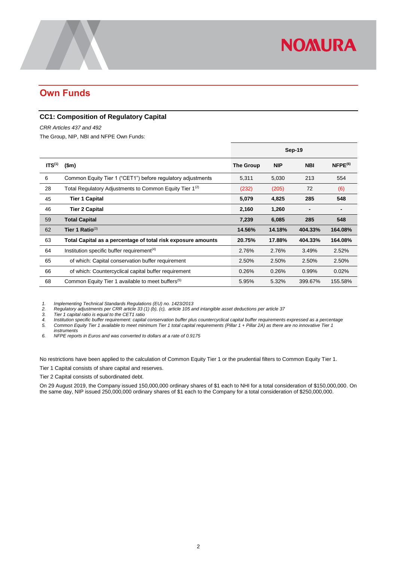## <span id="page-3-0"></span>**Own Funds**

### <span id="page-3-1"></span>**CC1: Composition of Regulatory Capital**

*CRR Articles 437 and 492* 

The Group, NIP, NBI and NFPE Own Funds:

|                    |                                                                     | Sep-19    |            |            |               |
|--------------------|---------------------------------------------------------------------|-----------|------------|------------|---------------|
| ITS <sup>(1)</sup> | $(\$m)$                                                             | The Group | <b>NIP</b> | <b>NBI</b> | $N$ FPE $(6)$ |
| 6                  | Common Equity Tier 1 ("CET1") before regulatory adjustments         | 5,311     | 5,030      | 213        | 554           |
| 28                 | Total Regulatory Adjustments to Common Equity Tier 1 <sup>(2)</sup> | (232)     | (205)      | 72         | (6)           |
| 45                 | <b>Tier 1 Capital</b>                                               | 5,079     | 4,825      | 285        | 548           |
| 46                 | <b>Tier 2 Capital</b>                                               | 2,160     | 1,260      | -          |               |
| 59                 | <b>Total Capital</b>                                                | 7,239     | 6,085      | 285        | 548           |
| 62                 | Tier 1 Ratio $^{(3)}$                                               | 14.56%    | 14.18%     | 404.33%    | 164.08%       |
| 63                 | Total Capital as a percentage of total risk exposure amounts        | 20.75%    | 17.88%     | 404.33%    | 164.08%       |
| 64                 | Institution specific buffer requirement <sup>(4)</sup>              | 2.76%     | 2.76%      | 3.49%      | 2.52%         |
| 65                 | of which: Capital conservation buffer requirement                   | 2.50%     | 2.50%      | 2.50%      | 2.50%         |
| 66                 | of which: Countercyclical capital buffer requirement                | 0.26%     | 0.26%      | 0.99%      | 0.02%         |
| 68                 | Common Equity Tier 1 available to meet buffers <sup>(5)</sup>       | 5.95%     | 5.32%      | 399.67%    | 155.58%       |

*1. Implementing Technical Standards Regulations (EU) no. 1423/2013*

*2. Regulatory adjustments per CRR article 33 (1) (b), (c), article 105 and intangible asset deductions per article 37*

*3. Tier 1 capital ratio is equal to the CET1 ratio 4. Institution specific buffer requirement: capital conservation buffer plus countercyclical capital buffer requirements expressed as a percentage 5. Common Equity Tier 1 available to meet minimum Tier 1 total capital requirements (Pillar 1 + Pillar 2A) as there are no innovative Tier 1 instruments*

*6. NFPE reports in Euros and was converted to dollars at a rate of 0.9175*

No restrictions have been applied to the calculation of Common Equity Tier 1 or the prudential filters to Common Equity Tier 1.

Tier 1 Capital consists of share capital and reserves.

Tier 2 Capital consists of subordinated debt.

On 29 August 2019, the Company issued 150,000,000 ordinary shares of \$1 each to NHI for a total consideration of \$150,000,000. On the same day, NIP issued 250,000,000 ordinary shares of \$1 each to the Company for a total consideration of \$250,000,000.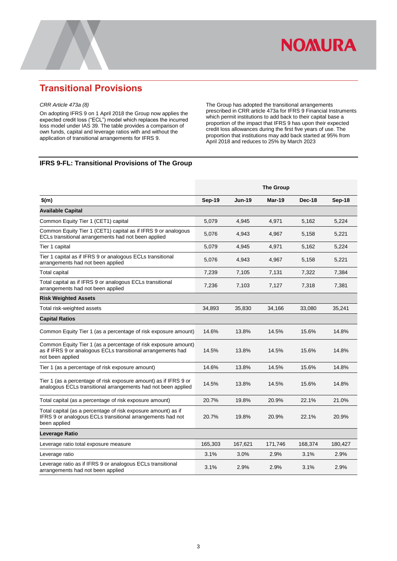

## <span id="page-4-0"></span>**Transitional Provisions**

#### *CRR Article 473a (8)*

On adopting IFRS 9 on 1 April 2018 the Group now applies the expected credit loss ("ECL") model which replaces the incurred loss model under IAS 39. The table provides a comparison of own funds, capital and leverage ratios with and without the application of transitional arrangements for IFRS 9.

The Group has adopted the transitional arrangements prescribed in CRR article 473a for IFRS 9 Financial Instruments which permit institutions to add back to their capital base a proportion of the impact that IFRS 9 has upon their expected credit loss allowances during the first five years of use. The proportion that institutions may add back started at 95% from April 2018 and reduces to 25% by March 2023

### <span id="page-4-1"></span>**IFRS 9-FL: Transitional Provisions of The Group**

|                                                                                                                                                    | <b>The Group</b> |               |         |         |         |
|----------------------------------------------------------------------------------------------------------------------------------------------------|------------------|---------------|---------|---------|---------|
| $$$ (m)                                                                                                                                            | <b>Sep-19</b>    | <b>Jun-19</b> | Mar-19  | Dec-18  | Sep-18  |
| <b>Available Capital</b>                                                                                                                           |                  |               |         |         |         |
| Common Equity Tier 1 (CET1) capital                                                                                                                | 5,079            | 4,945         | 4,971   | 5,162   | 5,224   |
| Common Equity Tier 1 (CET1) capital as if IFRS 9 or analogous<br>ECLs transitional arrangements had not been applied                               | 5,076            | 4,943         | 4,967   | 5,158   | 5,221   |
| Tier 1 capital                                                                                                                                     | 5,079            | 4,945         | 4,971   | 5,162   | 5,224   |
| Tier 1 capital as if IFRS 9 or analogous ECLs transitional<br>arrangements had not been applied                                                    | 5,076            | 4,943         | 4,967   | 5,158   | 5,221   |
| <b>Total capital</b>                                                                                                                               | 7,239            | 7,105         | 7,131   | 7,322   | 7,384   |
| Total capital as if IFRS 9 or analogous ECLs transitional<br>arrangements had not been applied                                                     | 7,236            | 7,103         | 7,127   | 7,318   | 7,381   |
| <b>Risk Weighted Assets</b>                                                                                                                        |                  |               |         |         |         |
| Total risk-weighted assets                                                                                                                         | 34,893           | 35,830        | 34,166  | 33,080  | 35,241  |
| <b>Capital Ratios</b>                                                                                                                              |                  |               |         |         |         |
| Common Equity Tier 1 (as a percentage of risk exposure amount)                                                                                     | 14.6%            | 13.8%         | 14.5%   | 15.6%   | 14.8%   |
| Common Equity Tier 1 (as a percentage of risk exposure amount)<br>as if IFRS 9 or analogous ECLs transitional arrangements had<br>not been applied | 14.5%            | 13.8%         | 14.5%   | 15.6%   | 14.8%   |
| Tier 1 (as a percentage of risk exposure amount)                                                                                                   | 14.6%            | 13.8%         | 14.5%   | 15.6%   | 14.8%   |
| Tier 1 (as a percentage of risk exposure amount) as if IFRS 9 or<br>analogous ECLs transitional arrangements had not been applied                  | 14.5%            | 13.8%         | 14.5%   | 15.6%   | 14.8%   |
| Total capital (as a percentage of risk exposure amount)                                                                                            | 20.7%            | 19.8%         | 20.9%   | 22.1%   | 21.0%   |
| Total capital (as a percentage of risk exposure amount) as if<br>IFRS 9 or analogous ECLs transitional arrangements had not<br>been applied        | 20.7%            | 19.8%         | 20.9%   | 22.1%   | 20.9%   |
| Leverage Ratio                                                                                                                                     |                  |               |         |         |         |
| Leverage ratio total exposure measure                                                                                                              | 165,303          | 167,621       | 171,746 | 168,374 | 180,427 |
| Leverage ratio                                                                                                                                     | 3.1%             | 3.0%          | 2.9%    | 3.1%    | 2.9%    |
| Leverage ratio as if IFRS 9 or analogous ECLs transitional<br>arrangements had not been applied                                                    | 3.1%             | 2.9%          | 2.9%    | 3.1%    | 2.9%    |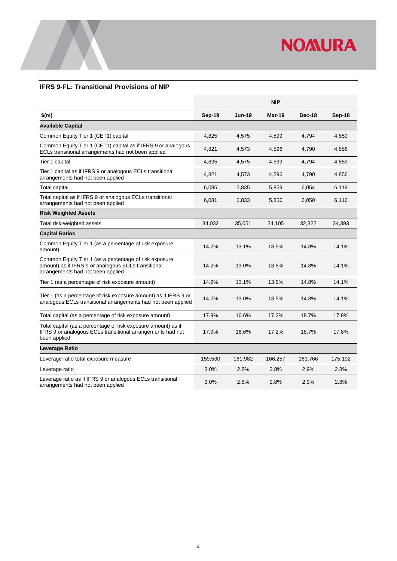

### <span id="page-5-0"></span>**IFRS 9-FL: Transitional Provisions of NIP**

|                                                                                                                                                    |         |               | <b>NIP</b> |         |         |
|----------------------------------------------------------------------------------------------------------------------------------------------------|---------|---------------|------------|---------|---------|
| \$(m)                                                                                                                                              | Sep-19  | <b>Jun-19</b> | Mar-19     | Dec-18  | Sep-18  |
| <b>Available Capital</b>                                                                                                                           |         |               |            |         |         |
| Common Equity Tier 1 (CET1) capital                                                                                                                | 4,825   | 4,575         | 4,599      | 4,794   | 4,859   |
| Common Equity Tier 1 (CET1) capital as if IFRS 9 or analogous<br>ECLs transitional arrangements had not been applied                               | 4,821   | 4,573         | 4,596      | 4,790   | 4,856   |
| Tier 1 capital                                                                                                                                     | 4,825   | 4,575         | 4,599      | 4,794   | 4,859   |
| Tier 1 capital as if IFRS 9 or analogous ECLs transitional<br>arrangements had not been applied                                                    | 4,821   | 4,573         | 4,596      | 4,790   | 4,856   |
| <b>Total capital</b>                                                                                                                               | 6,085   | 5,835         | 5,859      | 6,054   | 6,119   |
| Total capital as if IFRS 9 or analogous ECLs transitional<br>arrangements had not been applied                                                     | 6,081   | 5,833         | 5,856      | 6,050   | 6,116   |
| <b>Risk Weighted Assets</b>                                                                                                                        |         |               |            |         |         |
| Total risk-weighted assets                                                                                                                         | 34,032  | 35,051        | 34,105     | 32,322  | 34,393  |
| <b>Capital Ratios</b>                                                                                                                              |         |               |            |         |         |
| Common Equity Tier 1 (as a percentage of risk exposure<br>amount)                                                                                  | 14.2%   | 13.1%         | 13.5%      | 14.8%   | 14.1%   |
| Common Equity Tier 1 (as a percentage of risk exposure<br>amount) as if IFRS 9 or analogous ECLs transitional<br>arrangements had not been applied | 14.2%   | 13.0%         | 13.5%      | 14.8%   | 14.1%   |
| Tier 1 (as a percentage of risk exposure amount)                                                                                                   | 14.2%   | 13.1%         | 13.5%      | 14.8%   | 14.1%   |
| Tier 1 (as a percentage of risk exposure amount) as if IFRS 9 or<br>analogous ECLs transitional arrangements had not been applied                  | 14.2%   | 13.0%         | 13.5%      | 14.8%   | 14.1%   |
| Total capital (as a percentage of risk exposure amount)                                                                                            | 17.9%   | 16.6%         | 17.2%      | 18.7%   | 17.8%   |
| Total capital (as a percentage of risk exposure amount) as if<br>IFRS 9 or analogous ECLs transitional arrangements had not<br>been applied        | 17.9%   | 16.6%         | 17.2%      | 18.7%   | 17.8%   |
| Leverage Ratio                                                                                                                                     |         |               |            |         |         |
| Leverage ratio total exposure measure                                                                                                              | 159,530 | 161,982       | 166,257    | 163,766 | 175,192 |
| Leverage ratio                                                                                                                                     | 3.0%    | 2.8%          | 2.8%       | 2.9%    | 2.8%    |
| Leverage ratio as if IFRS 9 or analogous ECLs transitional<br>arrangements had not been applied                                                    | 3.0%    | 2.8%          | 2.8%       | 2.9%    | 2.8%    |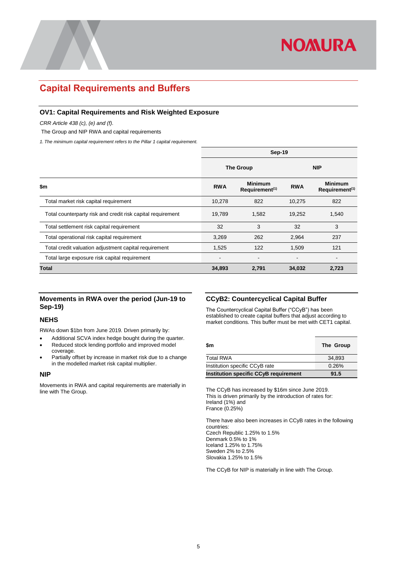

### <span id="page-6-0"></span>**Capital Requirements and Buffers**

### <span id="page-6-1"></span>**OV1: Capital Requirements and Risk Weighted Exposure**

*CRR Article 438 (c), (e) and (f).*

The Group and NIP RWA and capital requirements

*1. The minimum capital requirement refers to the Pillar 1 capital requirement.*

|                                                             | Sep-19                                                     |                          |                              |                                                                      |  |  |
|-------------------------------------------------------------|------------------------------------------------------------|--------------------------|------------------------------|----------------------------------------------------------------------|--|--|
|                                                             |                                                            | <b>The Group</b>         | <b>NIP</b>                   |                                                                      |  |  |
| \$m                                                         | <b>Minimum</b><br><b>RWA</b><br>Requirement <sup>(1)</sup> |                          | <b>RWA</b>                   | <b>Minimum</b><br>$Required$ Requirement <sup><math>(1)</math></sup> |  |  |
| Total market risk capital requirement                       | 10,278                                                     | 822                      | 10,275                       | 822                                                                  |  |  |
| Total counterparty risk and credit risk capital requirement | 19,789                                                     | 1.582                    | 19,252                       | 1,540                                                                |  |  |
| Total settlement risk capital requirement                   | 32                                                         | 3                        | 32                           | 3                                                                    |  |  |
| Total operational risk capital requirement                  | 3,269                                                      | 262                      | 2,964                        | 237                                                                  |  |  |
| Total credit valuation adjustment capital requirement       | 1,525                                                      | 122                      | 1,509                        | 121                                                                  |  |  |
| Total large exposure risk capital requirement               | $\overline{\phantom{a}}$                                   | $\overline{\phantom{0}}$ | $\qquad \qquad \blacksquare$ | $\blacksquare$                                                       |  |  |
| Total                                                       | 34,893                                                     | 2,791                    | 34,032                       | 2,723                                                                |  |  |

### <span id="page-6-2"></span>**Movements in RWA over the period (Jun-19 to Sep-19)**

### **NEHS**

RWAs down \$1bn from June 2019. Driven primarily by:

- Additional SCVA index hedge bought during the quarter.
- Reduced stock lending portfolio and improved model coverage.
- Partially offset by increase in market risk due to a change in the modelled market risk capital multiplier.

### **NIP**

Movements in RWA and capital requirements are materially in line with The Group.

### <span id="page-6-3"></span>**CCyB2: Countercyclical Capital Buffer**

The Countercyclical Capital Buffer ("CCyB") has been established to create capital buffers that adjust according to market conditions. This buffer must be met with CET1 capital.

| \$m                                          | The Group |
|----------------------------------------------|-----------|
| <b>Total RWA</b>                             | 34.893    |
| Institution specific CCyB rate               | 0.26%     |
| <b>Institution specific CCyB requirement</b> | 91.5      |

The CCyB has increased by \$16m since June 2019. This is driven primarily by the introduction of rates for: Ireland (1%) and France (0.25%)

There have also been increases in CCyB rates in the following countries: Czech Republic 1.25% to 1.5% Denmark 0.5% to 1% Iceland 1.25% to 1.75% Sweden 2% to 2.5% Slovakia 1.25% to 1.5%

The CCyB for NIP is materially in line with The Group.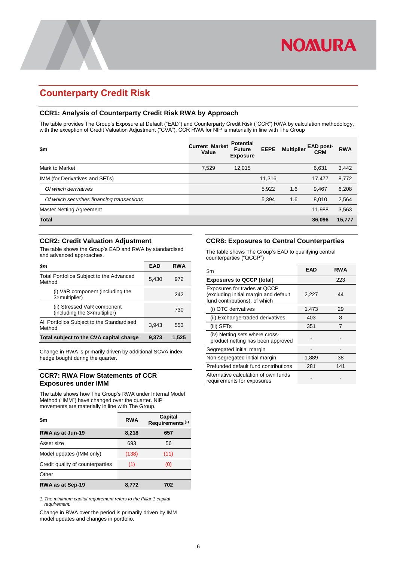## <span id="page-7-0"></span>**Counterparty Credit Risk**

### <span id="page-7-1"></span>**CCR1: Analysis of Counterparty Credit Risk RWA by Approach**

The table provides The Group's Exposure at Default ("EAD") and Counterparty Credit Risk ("CCR") RWA by calculation methodology, with the exception of Credit Valuation Adjustment ("CVA"). CCR RWA for NIP is materially in line with The Group

| \$m                                        | <b>Current Market</b><br>Value | <b>Potential</b><br><b>Future</b><br><b>Exposure</b> | <b>EEPE</b> | <b>Multiplier</b> | <b>EAD post-</b><br><b>CRM</b> | <b>RWA</b> |
|--------------------------------------------|--------------------------------|------------------------------------------------------|-------------|-------------------|--------------------------------|------------|
| Mark to Market                             | 7,529                          | 12,015                                               |             |                   | 6,631                          | 3,442      |
| IMM (for Derivatives and SFTs)             |                                |                                                      | 11,316      |                   | 17,477                         | 8,772      |
| Of which derivatives                       |                                |                                                      | 5,922       | 1.6               | 9,467                          | 6,208      |
| Of which securities financing transactions |                                |                                                      | 5,394       | 1.6               | 8,010                          | 2,564      |
| <b>Master Netting Agreement</b>            |                                |                                                      |             |                   | 11,988                         | 3,563      |
| <b>Total</b>                               |                                |                                                      |             |                   | 36,096                         | 15,777     |

### <span id="page-7-2"></span>**CCR2: Credit Valuation Adjustment**

The table shows the Group's EAD and RWA by standardised and advanced approaches.

| \$m                                                         | EAD   | <b>RWA</b> |
|-------------------------------------------------------------|-------|------------|
| Total Portfolios Subject to the Advanced<br>Method          | 5,430 | 972        |
| (i) VaR component (including the<br>3xmultiplier)           |       | 242        |
| (ii) Stressed VaR component<br>(including the 3xmultiplier) |       | 730        |
| All Portfolios Subject to the Standardised<br>Method        | 3,943 | 553        |
| Total subject to the CVA capital charge                     | 9,373 | 1,525      |

Change in RWA is primarily driven by additional SCVA index hedge bought during the quarter.

### <span id="page-7-3"></span>**CCR7: RWA Flow Statements of CCR Exposures under IMM**

The table shows how The Group's RWA under Internal Model Method ("IMM") have changed over the quarter. NIP movements are materially in line with The Group.

| \$m                              | <b>RWA</b> | Capital<br>Requirements <sup>(1)</sup> |
|----------------------------------|------------|----------------------------------------|
| RWA as at Jun-19                 | 8,218      | 657                                    |
| Asset size                       | 693        | 56                                     |
| Model updates (IMM only)         | (138)      | (11)                                   |
| Credit quality of counterparties | (1)        | (0)                                    |
| Other                            |            |                                        |
| RWA as at Sep-19                 | 8.772      | 702                                    |

*1. The minimum capital requirement refers to the Pillar 1 capital requirement.*

Change in RWA over the period is primarily driven by IMM model updates and changes in portfolio.

### <span id="page-7-4"></span>**CCR8: Exposures to Central Counterparties**

The table shows The Group's EAD to qualifying central counterparties ("QCCP")

| \$m                                                                                                    | EAD   | <b>RWA</b> |
|--------------------------------------------------------------------------------------------------------|-------|------------|
| <b>Exposures to QCCP (total)</b>                                                                       |       | 223        |
| Exposures for trades at QCCP<br>(excluding initial margin and default<br>fund contributions); of which | 2,227 | 44         |
| (i) OTC derivatives                                                                                    | 1,473 | 29         |
| (ii) Exchange-traded derivatives                                                                       | 403   | 8          |
| (iii) SFTs                                                                                             | 351   | 7          |
| (iv) Netting sets where cross-<br>product netting has been approved                                    |       |            |
| Segregated initial margin                                                                              |       |            |
| Non-segregated initial margin                                                                          | 1,889 | 38         |
| Prefunded default fund contributions                                                                   | 281   | 141        |
| Alternative calculation of own funds<br>requirements for exposures                                     |       |            |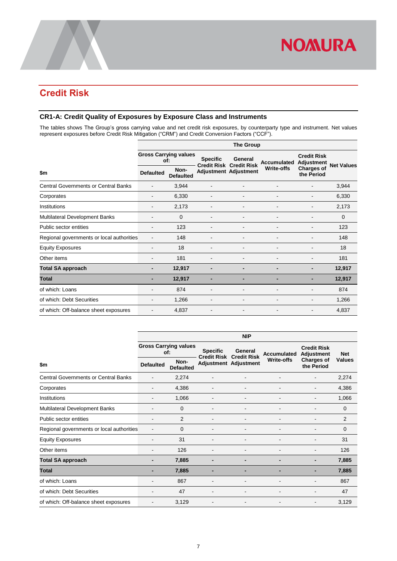## <span id="page-8-0"></span>**Credit Risk**

### <span id="page-8-1"></span>**CR1-A: Credit Quality of Exposures by Exposure Class and Instruments**

The tables shows The Group's gross carrying value and net credit risk exposures, by counterparty type and instrument. Net values represent exposures before Credit Risk Mitigation ("CRM") and Credit Conversion Factors ("CCF").

| <b>The Group</b>         |                                           |                              |                              |                                |                              |                                                              |  |  |
|--------------------------|-------------------------------------------|------------------------------|------------------------------|--------------------------------|------------------------------|--------------------------------------------------------------|--|--|
|                          |                                           | <b>Specific</b>              | General                      |                                | <b>Credit Risk</b>           | <b>Net Values</b>                                            |  |  |
| <b>Defaulted</b>         | Non-<br><b>Defaulted</b>                  |                              |                              | <b>Write-offs</b>              | the Period                   |                                                              |  |  |
| $\overline{\phantom{a}}$ | 3,944                                     | $\overline{\phantom{a}}$     |                              |                                |                              | 3,944                                                        |  |  |
|                          | 6,330                                     |                              |                              |                                |                              | 6,330                                                        |  |  |
|                          | 2,173                                     |                              |                              |                                |                              | 2,173                                                        |  |  |
|                          | $\mathbf 0$                               |                              |                              |                                |                              | $\mathbf 0$                                                  |  |  |
|                          | 123                                       | $\qquad \qquad \blacksquare$ |                              |                                |                              | 123                                                          |  |  |
|                          | 148                                       |                              |                              |                                |                              | 148                                                          |  |  |
|                          | 18                                        |                              |                              |                                |                              | 18                                                           |  |  |
|                          | 181                                       |                              |                              |                                |                              | 181                                                          |  |  |
|                          | 12,917                                    | -                            | -                            |                                |                              | 12,917                                                       |  |  |
|                          | 12,917                                    | -                            | -                            |                                |                              | 12,917                                                       |  |  |
|                          | 874                                       |                              |                              |                                |                              | 874                                                          |  |  |
|                          | 1,266                                     |                              |                              |                                |                              | 1,266                                                        |  |  |
|                          | 4,837                                     | $\qquad \qquad \blacksquare$ | $\qquad \qquad \blacksquare$ |                                |                              | 4,837                                                        |  |  |
|                          | Regional governments or local authorities | of:                          | <b>Gross Carrying values</b> | <b>Credit Risk Credit Risk</b> | <b>Adjustment Adjustment</b> | <b>Accumulated</b><br><b>Adjustment</b><br><b>Charges of</b> |  |  |

|                                             | <b>NIP</b>                          |                          |                                       |                               |                              |                                         |               |  |  |
|---------------------------------------------|-------------------------------------|--------------------------|---------------------------------------|-------------------------------|------------------------------|-----------------------------------------|---------------|--|--|
|                                             | <b>Gross Carrying values</b><br>of: |                          | <b>Specific</b><br><b>Credit Risk</b> | General<br><b>Credit Risk</b> | <b>Accumulated</b>           | <b>Credit Risk</b><br><b>Adjustment</b> | <b>Net</b>    |  |  |
| \$m                                         | <b>Defaulted</b>                    | Non-<br><b>Defaulted</b> |                                       | Adjustment Adjustment         | <b>Write-offs</b>            | <b>Charges of</b><br>the Period         | <b>Values</b> |  |  |
| <b>Central Governments or Central Banks</b> |                                     | 2,274                    |                                       |                               |                              |                                         | 2,274         |  |  |
| Corporates                                  |                                     | 4,386                    |                                       |                               |                              |                                         | 4,386         |  |  |
| Institutions                                |                                     | 1,066                    |                                       | ۰                             | $\overline{\phantom{a}}$     |                                         | 1,066         |  |  |
| <b>Multilateral Development Banks</b>       |                                     | $\Omega$                 |                                       |                               |                              |                                         | $\Omega$      |  |  |
| Public sector entities                      |                                     | $\overline{2}$           |                                       |                               |                              |                                         | 2             |  |  |
| Regional governments or local authorities   |                                     | 0                        |                                       |                               |                              |                                         | 0             |  |  |
| <b>Equity Exposures</b>                     |                                     | 31                       |                                       |                               |                              |                                         | 31            |  |  |
| Other items                                 |                                     | 126                      |                                       | ۰                             | ٠                            |                                         | 126           |  |  |
| <b>Total SA approach</b>                    |                                     | 7,885                    | $\overline{\phantom{0}}$              | -                             | $\qquad \qquad \blacksquare$ |                                         | 7,885         |  |  |
| <b>Total</b>                                |                                     | 7,885                    |                                       |                               | -                            |                                         | 7,885         |  |  |
| of which: Loans                             |                                     | 867                      |                                       |                               |                              |                                         | 867           |  |  |
| of which: Debt Securities                   |                                     | 47                       |                                       |                               |                              |                                         | 47            |  |  |
| of which: Off-balance sheet exposures       |                                     | 3,129                    |                                       | ۰                             | ٠                            |                                         | 3,129         |  |  |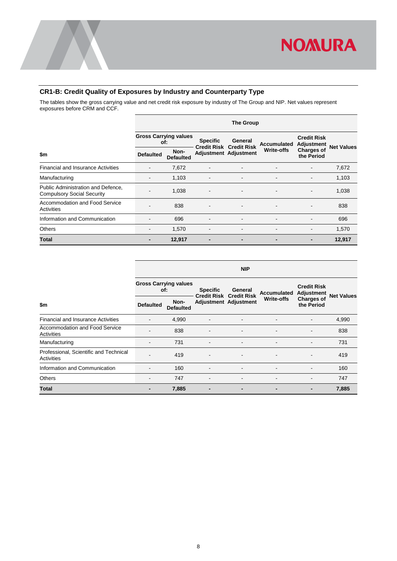

### <span id="page-9-0"></span>**CR1-B: Credit Quality of Exposures by Industry and Counterparty Type**

The tables show the gross carrying value and net credit risk exposure by industry of The Group and NIP. Net values represent exposures before CRM and CCF.

|                                                                         | <b>The Group</b> |                                     |                 |                                           |                    |                                         |                   |  |  |  |
|-------------------------------------------------------------------------|------------------|-------------------------------------|-----------------|-------------------------------------------|--------------------|-----------------------------------------|-------------------|--|--|--|
|                                                                         |                  | <b>Gross Carrying values</b><br>of: | <b>Specific</b> | General<br><b>Credit Risk Credit Risk</b> | <b>Accumulated</b> | <b>Credit Risk</b><br><b>Adjustment</b> | <b>Net Values</b> |  |  |  |
| \$m                                                                     | <b>Defaulted</b> | Non-<br><b>Defaulted</b>            |                 | Adjustment Adjustment                     | Write-offs         | <b>Charges of</b><br>the Period         |                   |  |  |  |
| <b>Financial and Insurance Activities</b>                               |                  | 7,672                               | $\blacksquare$  | $\overline{\phantom{a}}$                  | ٠                  | -                                       | 7,672             |  |  |  |
| Manufacturing                                                           | $\blacksquare$   | 1,103                               | $\blacksquare$  | $\blacksquare$                            | $\blacksquare$     | $\blacksquare$                          | 1,103             |  |  |  |
| Public Administration and Defence,<br><b>Compulsory Social Security</b> |                  | 1,038                               |                 |                                           |                    | -                                       | 1,038             |  |  |  |
| Accommodation and Food Service<br>Activities                            |                  | 838                                 |                 |                                           |                    |                                         | 838               |  |  |  |
| Information and Communication                                           |                  | 696                                 |                 |                                           |                    |                                         | 696               |  |  |  |
| <b>Others</b>                                                           |                  | 1,570                               |                 |                                           |                    |                                         | 1,570             |  |  |  |
| Total                                                                   |                  | 12,917                              |                 |                                           |                    |                                         | 12,917            |  |  |  |

|                                                             | <b>NIP</b>                          |                          |                                                   |                          |                    |                                         |                   |  |  |  |
|-------------------------------------------------------------|-------------------------------------|--------------------------|---------------------------------------------------|--------------------------|--------------------|-----------------------------------------|-------------------|--|--|--|
|                                                             | <b>Gross Carrying values</b><br>of: |                          | <b>Specific</b><br><b>Credit Risk Credit Risk</b> | General                  | <b>Accumulated</b> | <b>Credit Risk</b><br><b>Adjustment</b> | <b>Net Values</b> |  |  |  |
| \$m                                                         | <b>Defaulted</b>                    | Non-<br><b>Defaulted</b> | Adjustment Adjustment                             |                          | <b>Write-offs</b>  | <b>Charges of</b><br>the Period         |                   |  |  |  |
| <b>Financial and Insurance Activities</b>                   | ٠                                   | 4,990                    | $\overline{\phantom{a}}$                          | $\overline{\phantom{a}}$ | $\blacksquare$     |                                         | 4,990             |  |  |  |
| Accommodation and Food Service<br>Activities                |                                     | 838                      |                                                   |                          |                    |                                         | 838               |  |  |  |
| Manufacturing                                               | ۰                                   | 731                      | $\overline{\phantom{0}}$                          | $\overline{\phantom{a}}$ |                    | -                                       | 731               |  |  |  |
| Professional, Scientific and Technical<br><b>Activities</b> |                                     | 419                      | $\overline{\phantom{a}}$                          | $\blacksquare$           |                    |                                         | 419               |  |  |  |
| Information and Communication                               |                                     | 160                      | -                                                 | $\overline{\phantom{a}}$ |                    | ۰                                       | 160               |  |  |  |
| Others                                                      | ۰                                   | 747                      | -                                                 | ۰                        |                    | ۰                                       | 747               |  |  |  |
| Total                                                       |                                     | 7,885                    |                                                   | $\overline{a}$           | $\blacksquare$     | -                                       | 7,885             |  |  |  |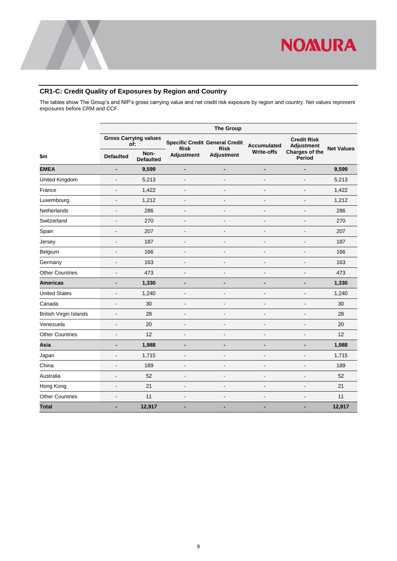

### <span id="page-10-0"></span>**CR1-C: Credit Quality of Exposures by Region and Country**

The tables show The Group's and NIP's gross carrying value and net credit risk exposure by region and country. Net values represent exposures before CRM and CCF.

|                               |                              | <b>The Group</b>                    |                          |                                                                                    |                          |                                         |                   |  |  |  |  |  |
|-------------------------------|------------------------------|-------------------------------------|--------------------------|------------------------------------------------------------------------------------|--------------------------|-----------------------------------------|-------------------|--|--|--|--|--|
|                               |                              | <b>Gross Carrying values</b><br>of: |                          | <b>Specific Credit General Credit</b><br>Accumulated<br><b>Risk</b><br><b>Risk</b> |                          | <b>Credit Risk</b><br><b>Adjustment</b> | <b>Net Values</b> |  |  |  |  |  |
| \$m                           | <b>Defaulted</b>             | Non-<br><b>Defaulted</b>            | <b>Adjustment</b>        | <b>Adjustment</b>                                                                  | <b>Write-offs</b>        | Charges of the<br>Period                |                   |  |  |  |  |  |
| <b>EMEA</b>                   | $\qquad \qquad \blacksquare$ | 9,599                               | $\overline{\phantom{0}}$ | $\overline{\phantom{0}}$                                                           | $\overline{\phantom{a}}$ | $\blacksquare$                          | 9,599             |  |  |  |  |  |
| United Kingdom                | $\overline{\phantom{a}}$     | 5,213                               | ä,                       | $\overline{a}$                                                                     | $\overline{a}$           | $\overline{a}$                          | 5,213             |  |  |  |  |  |
| France                        | $\blacksquare$               | 1,422                               | ÷                        | Ē.                                                                                 |                          |                                         | 1,422             |  |  |  |  |  |
| Luxembourg                    | $\blacksquare$               | 1,212                               | $\overline{a}$           | ä,                                                                                 |                          |                                         | 1,212             |  |  |  |  |  |
| Netherlands                   | $\overline{\phantom{a}}$     | 286                                 | $\overline{a}$           | L,                                                                                 | $\overline{a}$           | $\blacksquare$                          | 286               |  |  |  |  |  |
| Switzerland                   | $\blacksquare$               | 270                                 | $\overline{a}$           | ä,                                                                                 | $\overline{a}$           | $\overline{\phantom{a}}$                | 270               |  |  |  |  |  |
| Spain                         | $\overline{a}$               | 207                                 | $\overline{a}$           | ÷,                                                                                 | $\overline{a}$           | $\overline{a}$                          | 207               |  |  |  |  |  |
| Jersey                        | $\overline{a}$               | 187                                 | L.                       | L,                                                                                 | $\overline{a}$           | $\overline{a}$                          | 187               |  |  |  |  |  |
| Belgium                       | $\overline{a}$               | 166                                 | ٠                        | $\overline{a}$                                                                     | $\blacksquare$           | $\blacksquare$                          | 166               |  |  |  |  |  |
| Germany                       | $\blacksquare$               | 163                                 | Ĭ.                       | Ē,                                                                                 | $\overline{a}$           |                                         | 163               |  |  |  |  |  |
| <b>Other Countries</b>        | $\overline{\phantom{a}}$     | 473                                 | $\overline{a}$           | $\overline{\phantom{a}}$                                                           | $\overline{a}$           | $\blacksquare$                          | 473               |  |  |  |  |  |
| <b>Americas</b>               | $\blacksquare$               | 1,330                               |                          | $\overline{\phantom{0}}$                                                           | $\blacksquare$           | $\overline{\phantom{0}}$                | 1,330             |  |  |  |  |  |
| <b>United States</b>          | $\overline{a}$               | 1,240                               | $\overline{a}$           | Ē,                                                                                 | $\overline{a}$           | $\overline{\phantom{a}}$                | 1,240             |  |  |  |  |  |
| Canada                        | $\overline{\phantom{a}}$     | 30                                  | $\overline{a}$           | $\overline{\phantom{a}}$                                                           | $\overline{a}$           | $\overline{a}$                          | 30                |  |  |  |  |  |
| <b>British Virgin Islands</b> | $\overline{a}$               | 28                                  | ٠                        | $\overline{a}$                                                                     | $\overline{\phantom{a}}$ | $\blacksquare$                          | 28                |  |  |  |  |  |
| Venezuela                     | $\overline{\phantom{a}}$     | 20                                  | $\overline{a}$           | $\overline{\phantom{a}}$                                                           | $\overline{a}$           | $\blacksquare$                          | 20                |  |  |  |  |  |
| <b>Other Countries</b>        | $\overline{a}$               | 12                                  | $\overline{a}$           | Ē,                                                                                 | $\overline{\phantom{a}}$ | $\overline{\phantom{a}}$                | 12                |  |  |  |  |  |
| Asia                          | $\overline{\phantom{a}}$     | 1,988                               |                          | -                                                                                  | $\overline{\phantom{a}}$ | $\blacksquare$                          | 1,988             |  |  |  |  |  |
| Japan                         | $\blacksquare$               | 1,715                               | $\blacksquare$           | $\overline{a}$                                                                     | $\blacksquare$           | $\blacksquare$                          | 1,715             |  |  |  |  |  |
| China                         | $\blacksquare$               | 189                                 | ٠                        | ä,                                                                                 | $\overline{\phantom{a}}$ | $\blacksquare$                          | 189               |  |  |  |  |  |
| Australia                     | $\overline{a}$               | 52                                  | $\overline{a}$           | Ē,                                                                                 | $\overline{a}$           | $\blacksquare$                          | 52                |  |  |  |  |  |
| Hong Kong                     | $\overline{\phantom{a}}$     | 21                                  | $\overline{a}$           | Ē,                                                                                 | $\blacksquare$           | $\overline{\phantom{a}}$                | 21                |  |  |  |  |  |
| <b>Other Countries</b>        | $\blacksquare$               | 11                                  | $\overline{a}$           | $\overline{a}$                                                                     | $\overline{a}$           | $\overline{\phantom{a}}$                | 11                |  |  |  |  |  |
| <b>Total</b>                  |                              | 12,917                              | -                        | ٠                                                                                  | $\blacksquare$           |                                         | 12,917            |  |  |  |  |  |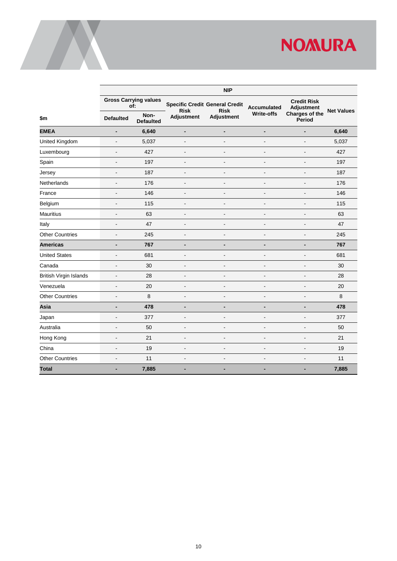|                               | <b>NIP</b>                          |                          |                                                                     |                          |                          |                                  |                   |  |  |  |  |
|-------------------------------|-------------------------------------|--------------------------|---------------------------------------------------------------------|--------------------------|--------------------------|----------------------------------|-------------------|--|--|--|--|
|                               | <b>Gross Carrying values</b><br>of: |                          | <b>Specific Credit General Credit</b><br><b>Risk</b><br><b>Risk</b> |                          | <b>Accumulated</b>       | <b>Credit Risk</b><br>Adjustment | <b>Net Values</b> |  |  |  |  |
| \$m\$                         | <b>Defaulted</b>                    | Non-<br><b>Defaulted</b> | <b>Adjustment</b>                                                   | Adjustment               | <b>Write-offs</b>        | Charges of the<br><b>Period</b>  |                   |  |  |  |  |
| <b>EMEA</b>                   | $\overline{\phantom{0}}$            | 6,640                    | $\qquad \qquad \blacksquare$                                        | $\overline{a}$           | $\overline{a}$           | $\blacksquare$                   | 6,640             |  |  |  |  |
| United Kingdom                | $\frac{1}{2}$                       | 5,037                    | $\overline{\phantom{a}}$                                            | $\overline{a}$           | $\overline{a}$           | $\overline{a}$                   | 5,037             |  |  |  |  |
| Luxembourg                    | $\qquad \qquad \blacksquare$        | 427                      | $\overline{\phantom{a}}$                                            | $\overline{a}$           | $\overline{\phantom{a}}$ | $\overline{a}$                   | 427               |  |  |  |  |
| Spain                         | ٠                                   | 197                      | $\blacksquare$                                                      | ٠                        | Ē,                       | $\overline{\phantom{a}}$         | 197               |  |  |  |  |
| Jersey                        | $\overline{a}$                      | 187                      | $\overline{a}$                                                      | $\overline{a}$           | $\overline{a}$           | $\blacksquare$                   | 187               |  |  |  |  |
| Netherlands                   | $\overline{\phantom{a}}$            | 176                      | $\overline{a}$                                                      | $\blacksquare$           | Ē,                       | $\overline{\phantom{a}}$         | 176               |  |  |  |  |
| France                        | L,                                  | 146                      |                                                                     | $\overline{\phantom{a}}$ | $\overline{a}$           | $\blacksquare$                   | 146               |  |  |  |  |
| Belgium                       | $\blacksquare$                      | 115                      | $\overline{\phantom{a}}$                                            | $\blacksquare$           | $\blacksquare$           | $\overline{\phantom{a}}$         | 115               |  |  |  |  |
| <b>Mauritius</b>              | $\qquad \qquad \blacksquare$        | 63                       | $\overline{a}$                                                      | $\overline{\phantom{a}}$ | $\overline{a}$           | $\overline{\phantom{a}}$         | 63                |  |  |  |  |
| Italy                         | ä,                                  | 47                       | $\blacksquare$                                                      | ä,                       | $\overline{\phantom{a}}$ | ÷.                               | 47                |  |  |  |  |
| <b>Other Countries</b>        | $\blacksquare$                      | 245                      | $\blacksquare$                                                      | $\overline{a}$           | $\overline{\phantom{a}}$ | $\blacksquare$                   | 245               |  |  |  |  |
| <b>Americas</b>               | -                                   | 767                      | $\overline{\phantom{0}}$                                            | -                        | $\blacksquare$           | $\blacksquare$                   | 767               |  |  |  |  |
| <b>United States</b>          | $\blacksquare$                      | 681                      | $\overline{a}$                                                      | $\blacksquare$           | $\overline{a}$           | $\blacksquare$                   | 681               |  |  |  |  |
| Canada                        | $\qquad \qquad \blacksquare$        | 30                       | $\blacksquare$                                                      | $\overline{a}$           | $\overline{\phantom{a}}$ | $\blacksquare$                   | 30                |  |  |  |  |
| <b>British Virgin Islands</b> | $\overline{\phantom{a}}$            | 28                       | $\overline{\phantom{a}}$                                            | $\overline{\phantom{a}}$ | $\overline{\phantom{a}}$ | $\blacksquare$                   | 28                |  |  |  |  |
| Venezuela                     | $\overline{\phantom{a}}$            | 20                       | $\blacksquare$                                                      | $\overline{\phantom{a}}$ | $\overline{\phantom{a}}$ | $\overline{\phantom{a}}$         | 20                |  |  |  |  |
| <b>Other Countries</b>        | $\blacksquare$                      | 8                        | $\overline{\phantom{a}}$                                            | $\overline{a}$           | $\overline{a}$           | $\blacksquare$                   | 8                 |  |  |  |  |
| Asia                          | -                                   | 478                      | $\overline{\phantom{0}}$                                            | $\blacksquare$           | $\overline{\phantom{0}}$ | $\overline{\phantom{a}}$         | 478               |  |  |  |  |
| Japan                         | ä,                                  | 377                      | $\overline{\phantom{a}}$                                            | ä,                       | $\overline{a}$           | $\blacksquare$                   | 377               |  |  |  |  |
| Australia                     | $\overline{\phantom{a}}$            | 50                       | $\blacksquare$                                                      | $\blacksquare$           | Ē,                       | $\blacksquare$                   | 50                |  |  |  |  |
| Hong Kong                     | $\overline{a}$                      | 21                       | $\overline{\phantom{a}}$                                            | $\overline{a}$           | $\overline{\phantom{a}}$ | $\blacksquare$                   | 21                |  |  |  |  |
| China                         | $\qquad \qquad \blacksquare$        | 19                       | $\blacksquare$                                                      | $\overline{\phantom{a}}$ | $\overline{\phantom{m}}$ | $\overline{\phantom{a}}$         | 19                |  |  |  |  |
| <b>Other Countries</b>        | $\overline{\phantom{a}}$            | 11                       | $\blacksquare$                                                      | $\overline{\phantom{a}}$ | Ē,                       |                                  | 11                |  |  |  |  |
| <b>Total</b>                  | $\blacksquare$                      | 7,885                    | -                                                                   | ۰                        | ۰                        | $\blacksquare$                   | 7,885             |  |  |  |  |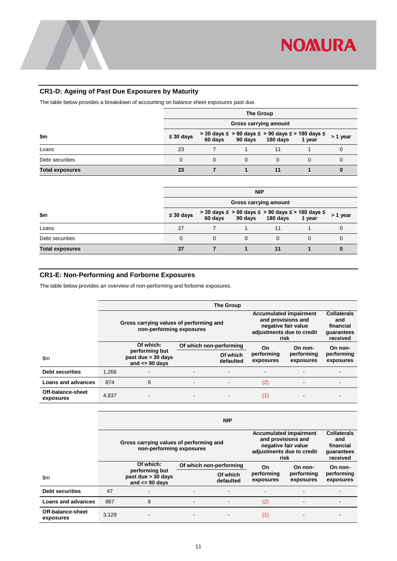### <span id="page-12-0"></span>**CR1-D: Ageing of Past Due Exposures by Maturity**

The table below provides a breakdown of accounting on balance sheet exposures past due.

|                        | <b>The Group</b>      |  |          |                                                                                                          |   |          |  |  |
|------------------------|-----------------------|--|----------|----------------------------------------------------------------------------------------------------------|---|----------|--|--|
|                        | Gross carrying amount |  |          |                                                                                                          |   |          |  |  |
| \$m                    | $\leq 30$ days        |  |          | $>$ 30 days $\le$ $>$ 60 days $\le$ $>$ 90 days $\le$ $>$ 180 days $\le$ 60 days 90 days 180 days 1 year |   | > 1 year |  |  |
| Loans                  | 23                    |  |          |                                                                                                          |   |          |  |  |
| Debt securities        |                       |  | $\Omega$ |                                                                                                          | 0 |          |  |  |
| <b>Total exposures</b> | 23                    |  |          |                                                                                                          |   |          |  |  |

|                        | <b>NIP</b>     |                                                                                                          |                       |  |   |          |  |  |
|------------------------|----------------|----------------------------------------------------------------------------------------------------------|-----------------------|--|---|----------|--|--|
|                        |                |                                                                                                          | Gross carrying amount |  |   |          |  |  |
| \$m                    | $\leq 30$ days | $>$ 30 days $\le$ $>$ 60 days $\le$ $>$ 90 days $\le$ $>$ 180 days $\le$ 60 days 90 days 180 days 1 year |                       |  |   | > 1 year |  |  |
| Loans                  | 27             |                                                                                                          |                       |  |   |          |  |  |
| Debt securities        |                | 0                                                                                                        | 0                     |  | 0 |          |  |  |
| <b>Total exposures</b> | 27             |                                                                                                          |                       |  |   |          |  |  |

### <span id="page-12-1"></span>**CR1-E: Non-Performing and Forborne Exposures**

The table below provides an overview of non-performing and forborne exposures.

|                                |       |                                                                     |                                                                                                                 | <b>The Group</b>                                                 |                          |                         |                         |
|--------------------------------|-------|---------------------------------------------------------------------|-----------------------------------------------------------------------------------------------------------------|------------------------------------------------------------------|--------------------------|-------------------------|-------------------------|
|                                |       | Gross carrying values of performing and<br>non-performing exposures | <b>Accumulated impairment</b><br>and provisions and<br>negative fair value<br>adjustments due to credit<br>risk | <b>Collaterals</b><br>and<br>financial<br>guarantees<br>received |                          |                         |                         |
|                                |       | Of which:                                                           |                                                                                                                 | Of which non-performing                                          | On                       | On non-                 | On non-                 |
| $\mathsf{Sm}$                  |       | performing but<br>past due > 30 days<br>and $\leq$ 90 days          |                                                                                                                 | Of which<br>defaulted                                            | performing<br>exposures  | performing<br>exposures | performing<br>exposures |
| <b>Debt securities</b>         | 1.266 |                                                                     |                                                                                                                 | ٠                                                                | $\overline{\phantom{0}}$ |                         |                         |
| Loans and advances             | 874   | 8                                                                   | $\blacksquare$                                                                                                  | $\blacksquare$                                                   | (2)                      | -                       |                         |
| Off-balance-sheet<br>exposures | 4,837 |                                                                     | $\blacksquare$                                                                                                  |                                                                  | (1)                      |                         |                         |
|                                |       |                                                                     |                                                                                                                 |                                                                  |                          |                         |                         |

|                                |       | <b>NIP</b>                                                          |                          |                                                                                                                 |                                                                  |                         |                         |  |  |  |  |  |
|--------------------------------|-------|---------------------------------------------------------------------|--------------------------|-----------------------------------------------------------------------------------------------------------------|------------------------------------------------------------------|-------------------------|-------------------------|--|--|--|--|--|
|                                |       | Gross carrying values of performing and<br>non-performing exposures |                          | <b>Accumulated impairment</b><br>and provisions and<br>negative fair value<br>adjustments due to credit<br>risk | <b>Collaterals</b><br>and<br>financial<br>quarantees<br>received |                         |                         |  |  |  |  |  |
|                                |       | Of which:<br>Of which non-performing                                |                          | On                                                                                                              | On non-                                                          | On non-                 |                         |  |  |  |  |  |
| $\mathsf{Sm}$                  |       | performing but<br>past due > 30 days<br>and $\leq$ 90 days          |                          | Of which<br>defaulted                                                                                           | performing<br>exposures                                          | performing<br>exposures | performing<br>exposures |  |  |  |  |  |
| <b>Debt securities</b>         | 47    |                                                                     |                          | ۰                                                                                                               | -                                                                |                         |                         |  |  |  |  |  |
| <b>Loans and advances</b>      | 867   | 8                                                                   | $\overline{\phantom{a}}$ |                                                                                                                 | (2)                                                              |                         |                         |  |  |  |  |  |
| Off-balance-sheet<br>exposures | 3.129 |                                                                     | $\overline{\phantom{a}}$ |                                                                                                                 | (1)                                                              |                         |                         |  |  |  |  |  |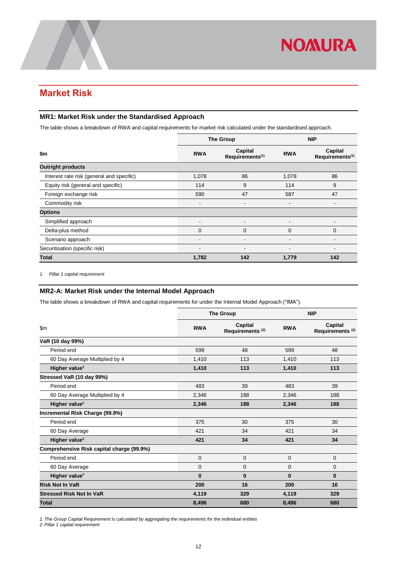## <span id="page-13-0"></span>**Market Risk**

### <span id="page-13-1"></span>**MR1: Market Risk under the Standardised Approach**

The table shows a breakdown of RWA and capital requirements for market risk calculated under the standardised approach.

|                                           |                                                      | <b>The Group</b>         | <b>NIP</b>     |                                        |  |
|-------------------------------------------|------------------------------------------------------|--------------------------|----------------|----------------------------------------|--|
| \$m                                       | Capital<br><b>RWA</b><br>Requirements <sup>(1)</sup> |                          | <b>RWA</b>     | Capital<br>Requirements <sup>(1)</sup> |  |
| <b>Outright products</b>                  |                                                      |                          |                |                                        |  |
| Interest rate risk (general and specific) | 1,078                                                | 86                       | 1,078          | 86                                     |  |
| Equity risk (general and specific)        | 114                                                  | 9                        | 114            | 9                                      |  |
| Foreign exchange risk                     | 590                                                  | 47                       | 587            | 47                                     |  |
| Commodity risk                            | $\blacksquare$                                       | $\blacksquare$           |                | $\overline{\phantom{a}}$               |  |
| <b>Options</b>                            |                                                      |                          |                |                                        |  |
| Simplified approach                       | $\blacksquare$                                       | $\overline{\phantom{a}}$ | $\blacksquare$ | $\blacksquare$                         |  |
| Delta-plus method                         | 0                                                    | $\mathbf 0$              | $\Omega$       | 0                                      |  |
| Scenario approach                         |                                                      |                          |                |                                        |  |
| Securitisation (specific risk)            |                                                      |                          |                | $\blacksquare$                         |  |
| <b>Total</b>                              | 1,782                                                | 142                      | 1,779          | 142                                    |  |

<span id="page-13-2"></span>*1. Pillar 1 capital requirement*

### **MR2-A: Market Risk under the Internal Model Approach**

The table shows a breakdown of RWA and capital requirements for under the Internal Model Approach ("IMA").

|                                           |             | <b>The Group</b>                              | <b>NIP</b>  |                                        |  |
|-------------------------------------------|-------------|-----------------------------------------------|-------------|----------------------------------------|--|
| $\mathsf{Sm}$                             | <b>RWA</b>  | <b>Capital</b><br>Requirements <sup>(2)</sup> | <b>RWA</b>  | Capital<br>Requirements <sup>(2)</sup> |  |
| VaR (10 day 99%)                          |             |                                               |             |                                        |  |
| Period end                                | 599         | 48                                            | 599         | 48                                     |  |
| 60 Day Average Multiplied by 4            | 1,410       | 113                                           | 1,410       | 113                                    |  |
| Higher value <sup>1</sup>                 | 1,410       | 113                                           | 1,410       | 113                                    |  |
| Stressed VaR (10 day 99%)                 |             |                                               |             |                                        |  |
| Period end                                | 483         | 39                                            | 483         | 39                                     |  |
| 60 Day Average Multiplied by 4            | 2,346       | 188                                           | 2,346       | 188                                    |  |
| Higher value <sup>1</sup>                 | 2,346       | 188                                           | 2,346       | 188                                    |  |
| Incremental Risk Charge (99.9%)           |             |                                               |             |                                        |  |
| Period end                                | 375         | 30                                            | 375         | 30                                     |  |
| 60 Day Average                            | 421         | 34                                            | 421         | 34                                     |  |
| Higher value <sup>1</sup>                 | 421         | 34                                            | 421         | 34                                     |  |
| Comprehensive Risk capital charge (99.9%) |             |                                               |             |                                        |  |
| Period end                                | $\mathbf 0$ | $\mathbf 0$                                   | $\mathbf 0$ | $\mathbf 0$                            |  |
| 60 Day Average                            | $\mathbf 0$ | $\mathbf 0$                                   | 0           | 0                                      |  |
| Higher value <sup>1</sup>                 | $\bf{0}$    | $\bf{0}$                                      | $\bf{0}$    | $\bf{0}$                               |  |
| <b>Risk Not In VaR</b>                    | 200         | 16                                            | 200         | 16                                     |  |
| <b>Stressed Risk Not In VaR</b>           | 4,119       | 329                                           | 4,119       | 329                                    |  |
| <b>Total</b>                              | 8,496       | 680                                           | 8,496       | 680                                    |  |

*1. The Group Capital Requirement is calculated by aggregating the requirements for the individual entities*

*2. Pillar 1 capital requirement*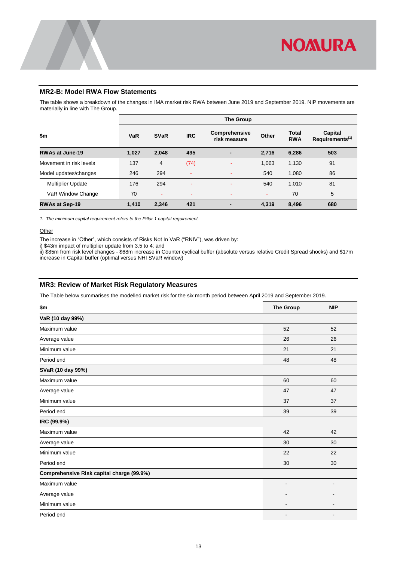

### <span id="page-14-0"></span>**MR2-B: Model RWA Flow Statements**

The table shows a breakdown of the changes in IMA market risk RWA between June 2019 and September 2019. NIP movements are materially in line with The Group.

|                          | <b>The Group</b> |             |            |                               |       |                            |                                        |
|--------------------------|------------------|-------------|------------|-------------------------------|-------|----------------------------|----------------------------------------|
| \$m                      | VaR              | <b>SVaR</b> | <b>IRC</b> | Comprehensive<br>risk measure | Other | <b>Total</b><br><b>RWA</b> | Capital<br>Requirements <sup>(1)</sup> |
| <b>RWAs at June-19</b>   | 1,027            | 2,048       | 495        |                               | 2,716 | 6,286                      | 503                                    |
| Movement in risk levels  | 137              | 4           | (74)       |                               | 1,063 | 1,130                      | 91                                     |
| Model updates/changes    | 246              | 294         |            | -                             | 540   | 1,080                      | 86                                     |
| <b>Multiplier Update</b> | 176              | 294         |            | ۰                             | 540   | 1.010                      | 81                                     |
| VaR Window Change        | 70               | ۰           | ۰          | ۰                             |       | 70                         | 5                                      |
| <b>RWAs at Sep-19</b>    | 1,410            | 2,346       | 421        |                               | 4.319 | 8.496                      | 680                                    |

*1. The minimum capital requirement refers to the Pillar 1 capital requirement.*

### **Other**

The increase in "Other", which consists of Risks Not In VaR ("RNIV"), was driven by:

i) \$43m impact of multiplier update from 3.5 to 4; and

ii) \$85m from risk level changes - \$68m increase in Counter cyclical buffer (absolute versus relative Credit Spread shocks) and \$17m increase in Capital buffer (optimal versus NHI SVaR window)

### <span id="page-14-1"></span>**MR3: Review of Market Risk Regulatory Measures**

The Table below summarises the modelled market risk for the six month period between April 2019 and September 2019.

| \$m                                       | <b>The Group</b>         | <b>NIP</b>               |
|-------------------------------------------|--------------------------|--------------------------|
| VaR (10 day 99%)                          |                          |                          |
| Maximum value                             | 52                       | 52                       |
| Average value                             | 26                       | 26                       |
| Minimum value                             | 21                       | 21                       |
| Period end                                | 48                       | 48                       |
| SVaR (10 day 99%)                         |                          |                          |
| Maximum value                             | 60                       | 60                       |
| Average value                             | 47                       | 47                       |
| Minimum value                             | 37                       | 37                       |
| Period end                                | 39                       | 39                       |
| IRC (99.9%)                               |                          |                          |
| Maximum value                             | 42                       | 42                       |
| Average value                             | 30                       | 30                       |
| Minimum value                             | 22                       | 22                       |
| Period end                                | 30                       | 30                       |
| Comprehensive Risk capital charge (99.9%) |                          |                          |
| Maximum value                             | ٠                        | $\blacksquare$           |
| Average value                             | ٠                        |                          |
| Minimum value                             | $\overline{\phantom{a}}$ | $\overline{\phantom{0}}$ |
| Period end                                | ٠                        |                          |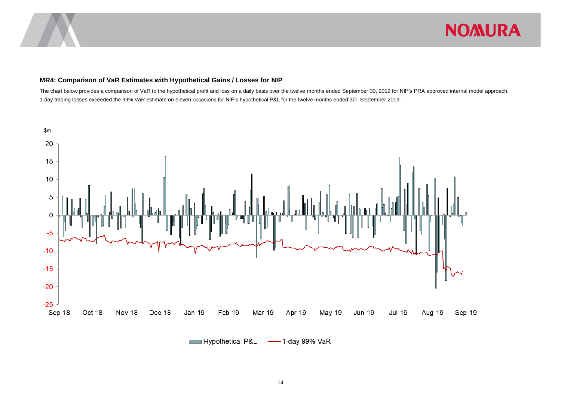

### **MR4: Comparison of VaR Estimates with Hypothetical Gains / Losses for NIP**

The chart below provides a comparison of VaR to the hypothetical profit and loss on a daily basis over the twelve months ended September 30, 2019 for NIP's PRA approved internal model approach*.* 1-day trading losses exceeded the 99% VaR estimate on eleven occasions for NIP's hypothetical P&L for the twelve months ended 30<sup>th</sup> September 2019.

<span id="page-15-0"></span>

Hypothetical P&L -1-day 99% VaR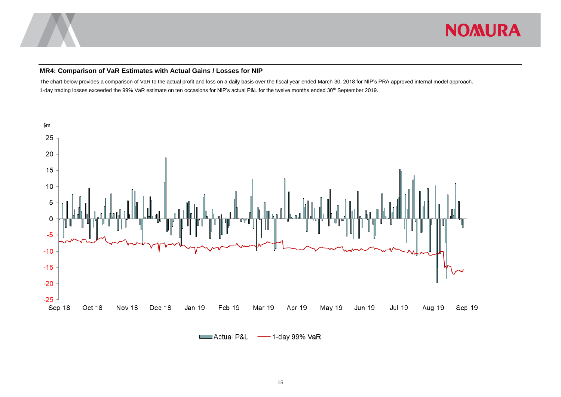

### **MR4: Comparison of VaR Estimates with Actual Gains / Losses for NIP**

The chart below provides a comparison of VaR to the actual profit and loss on a daily basis over the fiscal year ended March 30, 2018 for NIP's PRA approved internal model approach. 1-day trading losses exceeded the 99% VaR estimate on ten occasions for NIP's actual P&L for the twelve months ended 30<sup>th</sup> September 2019.

<span id="page-16-0"></span>

Actual P&L -1-day 99% VaR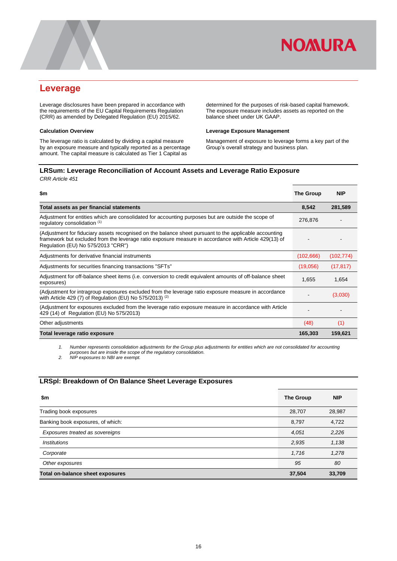

### <span id="page-17-0"></span>**Leverage**

Leverage disclosures have been prepared in accordance with the requirements of the EU Capital Requirements Regulation (CRR) as amended by Delegated Regulation (EU) 2015/62.

#### **Calculation Overview**

The leverage ratio is calculated by dividing a capital measure by an exposure measure and typically reported as a percentage amount. The capital measure is calculated as Tier 1 Capital as

determined for the purposes of risk-based capital framework. The exposure measure includes assets as reported on the balance sheet under UK GAAP.

### **Leverage Exposure Management**

Management of exposure to leverage forms a key part of the Group's overall strategy and business plan.

### <span id="page-17-1"></span>**LRSum: Leverage Reconciliation of Account Assets and Leverage Ratio Exposure** *CRR Article 451*

| \$m                                                                                                                                                                                                                                                   | The Group | <b>NIP</b> |
|-------------------------------------------------------------------------------------------------------------------------------------------------------------------------------------------------------------------------------------------------------|-----------|------------|
| Total assets as per financial statements                                                                                                                                                                                                              | 8,542     | 281,589    |
| Adjustment for entities which are consolidated for accounting purposes but are outside the scope of<br>regulatory consolidation (1)                                                                                                                   | 276,876   |            |
| (Adjustment for fiduciary assets recognised on the balance sheet pursuant to the applicable accounting<br>framework but excluded from the leverage ratio exposure measure in accordance with Article 429(13) of<br>Regulation (EU) No 575/2013 "CRR") |           |            |
| Adjustments for derivative financial instruments                                                                                                                                                                                                      | (102,666) | (102, 774) |
| Adjustments for securities financing transactions "SFTs"                                                                                                                                                                                              | (19,056)  | (17, 817)  |
| Adjustment for off-balance sheet items (i.e. conversion to credit equivalent amounts of off-balance sheet<br>exposures)                                                                                                                               | 1,655     | 1,654      |
| (Adjustment for intragroup exposures excluded from the leverage ratio exposure measure in accordance<br>with Article 429 (7) of Regulation (EU) No 575/2013) <sup>(2)</sup>                                                                           |           | (3,030)    |
| (Adjustment for exposures excluded from the leverage ratio exposure measure in accordance with Article<br>429 (14) of Regulation (EU) No 575/2013)                                                                                                    |           |            |
| Other adjustments                                                                                                                                                                                                                                     | (48)      | (1)        |
| Total leverage ratio exposure                                                                                                                                                                                                                         | 165,303   | 159,621    |

*1. Number represents consolidation adjustments for the Group plus adjustments for entities which are not consolidated for accounting purposes but are inside the scope of the regulatory consolidation.*

*2. NIP exposures to NBI are exempt.*

### <span id="page-17-2"></span>**LRSpl: Breakdown of On Balance Sheet Leverage Exposures**

| \$m                               | The Group | <b>NIP</b> |
|-----------------------------------|-----------|------------|
| Trading book exposures            | 28,707    | 28,987     |
| Banking book exposures, of which: | 8,797     | 4,722      |
| Exposures treated as sovereigns   | 4,051     | 2,226      |
| <b>Institutions</b>               | 2,935     | 1,138      |
| Corporate                         | 1,716     | 1,278      |
| Other exposures                   | 95        | 80         |
| Total on-balance sheet exposures  | 37,504    | 33,709     |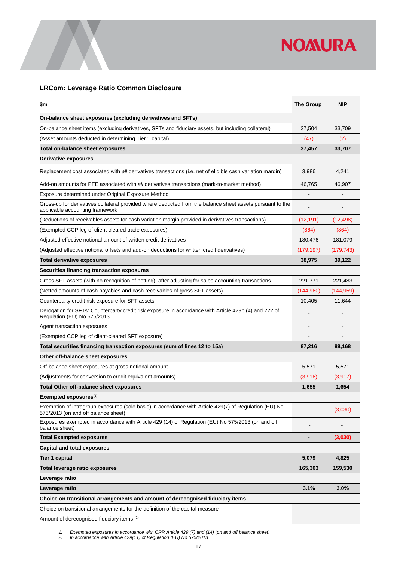

### <span id="page-18-0"></span>**LRCom: Leverage Ratio Common Disclosure**

| \$m                                                                                                                                           | <b>The Group</b> | <b>NIP</b> |
|-----------------------------------------------------------------------------------------------------------------------------------------------|------------------|------------|
| On-balance sheet exposures (excluding derivatives and SFTs)                                                                                   |                  |            |
| On-balance sheet items (excluding derivatives, SFTs and fiduciary assets, but including collateral)                                           | 37,504           | 33,709     |
| (Asset amounts deducted in determining Tier 1 capital)                                                                                        | (47)             | (2)        |
| Total on-balance sheet exposures                                                                                                              | 37,457           | 33,707     |
| Derivative exposures                                                                                                                          |                  |            |
| Replacement cost associated with all derivatives transactions (i.e. net of eligible cash variation margin)                                    | 3,986            | 4,241      |
| Add-on amounts for PFE associated with all derivatives transactions (mark-to-market method)                                                   | 46,765           | 46,907     |
| Exposure determined under Original Exposure Method                                                                                            |                  |            |
| Gross-up for derivatives collateral provided where deducted from the balance sheet assets pursuant to the<br>applicable accounting framework  |                  |            |
| (Deductions of receivables assets for cash variation margin provided in derivatives transactions)                                             | (12, 191)        | (12,498)   |
| (Exempted CCP leg of client-cleared trade exposures)                                                                                          | (864)            | (864)      |
| Adjusted effective notional amount of written credit derivatives                                                                              | 180,476          | 181,079    |
| (Adjusted effective notional offsets and add-on deductions for written credit derivatives)                                                    | (179, 197)       | (179, 743) |
| <b>Total derivative exposures</b>                                                                                                             | 38,975           | 39,122     |
| Securities financing transaction exposures                                                                                                    |                  |            |
| Gross SFT assets (with no recognition of netting), after adjusting for sales accounting transactions                                          | 221,771          | 221,483    |
| (Netted amounts of cash payables and cash receivables of gross SFT assets)                                                                    | (144,960)        | (144,959)  |
| Counterparty credit risk exposure for SFT assets                                                                                              | 10,405           | 11,644     |
| Derogation for SFTs: Counterparty credit risk exposure in accordance with Article 429b (4) and 222 of<br>Regulation (EU) No 575/2013          |                  |            |
| Agent transaction exposures                                                                                                                   |                  |            |
| (Exempted CCP leg of client-cleared SFT exposure)                                                                                             |                  |            |
| Total securities financing transaction exposures (sum of lines 12 to 15a)                                                                     | 87,216           | 88,168     |
| Other off-balance sheet exposures                                                                                                             |                  |            |
| Off-balance sheet exposures at gross notional amount                                                                                          | 5,571            | 5,571      |
| (Adjustments for conversion to credit equivalent amounts)                                                                                     | (3,916)          | (3, 917)   |
| <b>Total Other off-balance sheet exposures</b>                                                                                                | 1,655            | 1,654      |
| Exempted exposures <sup>(1)</sup>                                                                                                             |                  |            |
| Exemption of intragroup exposures (solo basis) in accordance with Article 429(7) of Regulation (EU) No<br>575/2013 (on and off balance sheet) |                  | (3,030)    |
| Exposures exempted in accordance with Article 429 (14) of Regulation (EU) No 575/2013 (on and off<br>balance sheet)                           | $\overline{a}$   |            |
| <b>Total Exempted exposures</b>                                                                                                               | -                | (3,030)    |
| <b>Capital and total exposures</b>                                                                                                            |                  |            |
| Tier 1 capital                                                                                                                                | 5,079            | 4,825      |
| Total leverage ratio exposures                                                                                                                | 165,303          | 159,530    |
| Leverage ratio                                                                                                                                |                  |            |
| Leverage ratio                                                                                                                                | 3.1%             | 3.0%       |
| Choice on transitional arrangements and amount of derecognised fiduciary items                                                                |                  |            |
| Choice on transitional arrangements for the definition of the capital measure                                                                 |                  |            |
| Amount of derecognised fiduciary items (2)                                                                                                    |                  |            |

*1. Exempted exposures in accordance with CRR Article 429 (7) and (14) (on and off balance sheet)*

*2. In accordance with Article 429(11) of Regulation (EU) No 575/2013*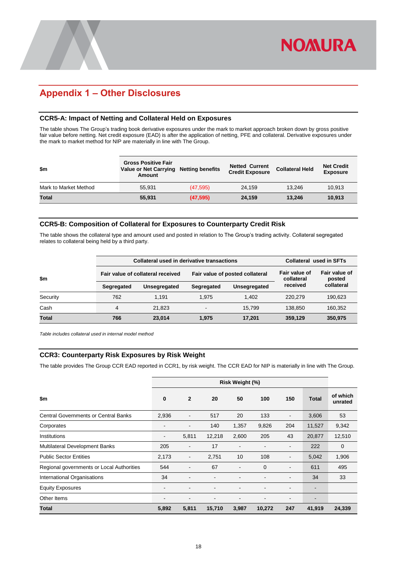## <span id="page-19-0"></span>**Appendix 1 – Other Disclosures**

### <span id="page-19-1"></span>**CCR5-A: Impact of Netting and Collateral Held on Exposures**

The table shows The Group's trading book derivative exposures under the mark to market approach broken down by gross positive fair value before netting. Net credit exposure (EAD) is after the application of netting, PFE and collateral. Derivative exposures under the mark to market method for NIP are materially in line with The Group.

| \$m                   | <b>Gross Positive Fair</b><br>Value or Net Carrying Netting benefits<br>Amount |           | <b>Netted Current</b><br><b>Credit Exposure</b> | <b>Collateral Held</b> | <b>Net Credit</b><br><b>Exposure</b> |
|-----------------------|--------------------------------------------------------------------------------|-----------|-------------------------------------------------|------------------------|--------------------------------------|
| Mark to Market Method | 55.931                                                                         | (47, 595) | 24.159                                          | 13.246                 | 10.913                               |
| Total                 | 55,931                                                                         | (47, 595) | 24.159                                          | 13.246                 | 10.913                               |

### <span id="page-19-2"></span>**CCR5-B: Composition of Collateral for Exposures to Counterparty Credit Risk**

The table shows the collateral type and amount used and posted in relation to The Group's trading activity. Collateral segregated relates to collateral being held by a third party.

|              |            | Collateral used in derivative transactions | Collateral used in SFTs     |                         |          |            |
|--------------|------------|--------------------------------------------|-----------------------------|-------------------------|----------|------------|
| $\mathbf{m}$ |            | Fair value of collateral received          | Fair value of<br>collateral | Fair value of<br>posted |          |            |
|              | Segregated | Unsegregated                               | Segregated                  | Unsegregated            | received | collateral |
| Security     | 762        | 1.191                                      | 1.975                       | 1.402                   | 220.279  | 190.623    |
| Cash         | 4          | 21,823                                     | $\overline{\phantom{0}}$    | 15.799                  | 138,850  | 160,352    |
| <b>Total</b> | 766        | 23.014                                     | 1.975                       | 17,201                  | 359,129  | 350,975    |

<span id="page-19-3"></span>*Table includes collateral used in internal model method*

### **CCR3: Counterparty Risk Exposures by Risk Weight**

The table provides The Group CCR EAD reported in CCR1, by risk weight. The CCR EAD for NIP is materially in line with The Group.

|                                             | Risk Weight (%) |                          |        |       |              |                              |              |                     |
|---------------------------------------------|-----------------|--------------------------|--------|-------|--------------|------------------------------|--------------|---------------------|
| \$m                                         | $\bf{0}$        | $\mathbf{2}$             | 20     | 50    | 100          | 150                          | <b>Total</b> | of which<br>unrated |
| <b>Central Governments or Central Banks</b> | 2,936           | $\overline{\phantom{0}}$ | 517    | 20    | 133          | $\qquad \qquad \blacksquare$ | 3,606        | 53                  |
| Corporates                                  | -               |                          | 140    | 1,357 | 9,826        | 204                          | 11,527       | 9,342               |
| Institutions                                | $\blacksquare$  | 5,811                    | 12,218 | 2,600 | 205          | 43                           | 20,877       | 12,510              |
| Multilateral Development Banks              | 205             | -                        | 17     |       |              | $\qquad \qquad \blacksquare$ | 222          | $\mathbf 0$         |
| <b>Public Sector Entities</b>               | 2,173           | -                        | 2,751  | 10    | 108          | $\qquad \qquad \blacksquare$ | 5,042        | 1,906               |
| Regional governments or Local Authorities   | 544             | $\overline{\phantom{a}}$ | 67     |       | $\mathbf{0}$ | $\overline{\phantom{a}}$     | 611          | 495                 |
| International Organisations                 | 34              |                          |        |       |              |                              | 34           | 33                  |
| <b>Equity Exposures</b>                     | -               |                          |        |       |              |                              |              |                     |
| Other Items                                 | ۰               |                          |        |       |              | -                            |              |                     |
| <b>Total</b>                                | 5,892           | 5,811                    | 15,710 | 3,987 | 10,272       | 247                          | 41,919       | 24,339              |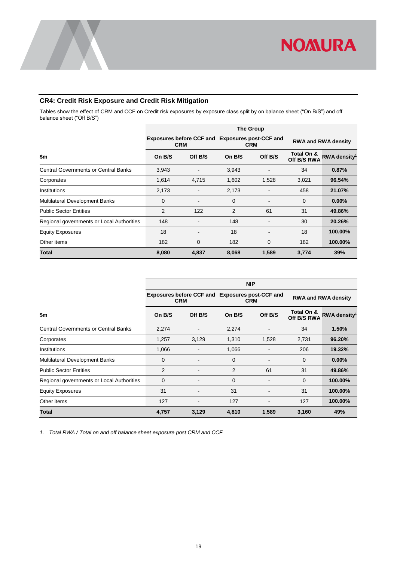

### <span id="page-20-0"></span>**CR4: Credit Risk Exposure and Credit Risk Mitigation**

Tables show the effect of CRM and CCF on Credit risk exposures by exposure class split by on balance sheet ("On B/S") and off balance sheet ("Off B/S")

|                                             | <b>The Group</b> |                                                               |        |                              |                           |                            |  |  |
|---------------------------------------------|------------------|---------------------------------------------------------------|--------|------------------------------|---------------------------|----------------------------|--|--|
|                                             |                  | Exposures before CCF and Exposures post-CCF and<br><b>CRM</b> |        | <b>CRM</b>                   |                           | <b>RWA and RWA density</b> |  |  |
| \$m                                         | On B/S           | Off B/S                                                       | On B/S | Off B/S                      | Total On &<br>Off B/S RWA | RWA density <sup>1</sup>   |  |  |
| <b>Central Governments or Central Banks</b> | 3,943            |                                                               | 3,943  |                              | 34                        | 0.87%                      |  |  |
| Corporates                                  | 1,614            | 4,715                                                         | 1,602  | 1,528                        | 3,021                     | 96.54%                     |  |  |
| Institutions                                | 2,173            | $\blacksquare$                                                | 2,173  | $\qquad \qquad \blacksquare$ | 458                       | 21.07%                     |  |  |
| <b>Multilateral Development Banks</b>       | 0                | $\qquad \qquad \blacksquare$                                  | 0      |                              | 0                         | $0.00\%$                   |  |  |
| <b>Public Sector Entities</b>               | 2                | 122                                                           | 2      | 61                           | 31                        | 49.86%                     |  |  |
| Regional governments or Local Authorities   | 148              | $\qquad \qquad \blacksquare$                                  | 148    |                              | 30                        | 20.26%                     |  |  |
| <b>Equity Exposures</b>                     | 18               | $\qquad \qquad \blacksquare$                                  | 18     |                              | 18                        | 100.00%                    |  |  |
| Other items                                 | 182              | 0                                                             | 182    | $\mathbf 0$                  | 182                       | 100.00%                    |  |  |
| Total                                       | 8,080            | 4,837                                                         | 8,068  | 1,589                        | 3,774                     | 39%                        |  |  |

|                                             | <b>NIP</b>                                                    |                          |            |         |                            |                          |  |  |  |
|---------------------------------------------|---------------------------------------------------------------|--------------------------|------------|---------|----------------------------|--------------------------|--|--|--|
|                                             | Exposures before CCF and Exposures post-CCF and<br><b>CRM</b> |                          | <b>CRM</b> |         | <b>RWA and RWA density</b> |                          |  |  |  |
| \$m                                         | On B/S                                                        | Off B/S                  | On B/S     | Off B/S | Total On &<br>Off B/S RWA  | RWA density <sup>1</sup> |  |  |  |
| <b>Central Governments or Central Banks</b> | 2,274                                                         |                          | 2,274      |         | 34                         | 1.50%                    |  |  |  |
| Corporates                                  | 1,257                                                         | 3,129                    | 1,310      | 1,528   | 2,731                      | 96.20%                   |  |  |  |
| Institutions                                | 1,066                                                         |                          | 1,066      |         | 206                        | 19.32%                   |  |  |  |
| <b>Multilateral Development Banks</b>       | 0                                                             | $\overline{\phantom{a}}$ | $\Omega$   |         | $\Omega$                   | 0.00%                    |  |  |  |
| <b>Public Sector Entities</b>               | 2                                                             |                          | 2          | 61      | 31                         | 49.86%                   |  |  |  |
| Regional governments or Local Authorities   | 0                                                             | $\blacksquare$           | 0          |         | 0                          | 100.00%                  |  |  |  |
| <b>Equity Exposures</b>                     | 31                                                            |                          | 31         |         | 31                         | 100.00%                  |  |  |  |
| Other items                                 | 127                                                           | $\overline{\phantom{0}}$ | 127        |         | 127                        | 100.00%                  |  |  |  |
| Total                                       | 4,757                                                         | 3,129                    | 4,810      | 1,589   | 3,160                      | 49%                      |  |  |  |

*1. Total RWA / Total on and off balance sheet exposure post CRM and CCF*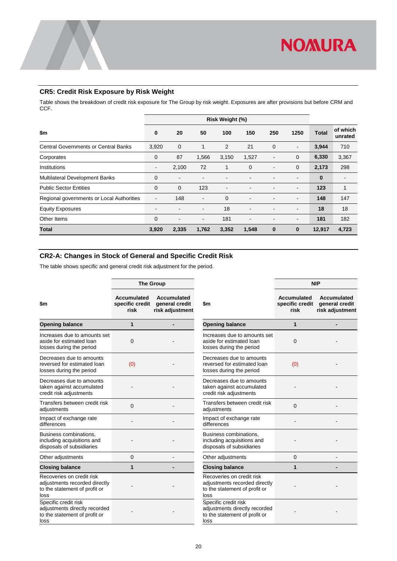

### <span id="page-21-0"></span>**CR5: Credit Risk Exposure by Risk Weight**

Table shows the breakdown of credit risk exposure for The Group by risk weight. Exposures are after provisions but before CRM and CCF.

|                                             |                          | Risk Weight (%) |                          |       |                |                          |                          |              |                          |
|---------------------------------------------|--------------------------|-----------------|--------------------------|-------|----------------|--------------------------|--------------------------|--------------|--------------------------|
| \$m                                         | 0                        | 20              | 50                       | 100   | 150            | 250                      | 1250                     | <b>Total</b> | of which<br>unrated      |
| <b>Central Governments or Central Banks</b> | 3,920                    | $\mathbf 0$     | 1                        | 2     | 21             | $\overline{0}$           | $\overline{\phantom{a}}$ | 3,944        | 710                      |
| Corporates                                  | 0                        | 87              | 1,566                    | 3,150 | 1,527          | $\overline{\phantom{a}}$ | $\mathbf{0}$             | 6,330        | 3,367                    |
| Institutions                                | $\blacksquare$           | 2,100           | 72                       | 1     | $\overline{0}$ | $\overline{\phantom{a}}$ | 0                        | 2,173        | 298                      |
| <b>Multilateral Development Banks</b>       | $\mathbf 0$              | $\blacksquare$  |                          |       |                |                          | $\overline{\phantom{0}}$ | $\bf{0}$     | $\overline{\phantom{0}}$ |
| <b>Public Sector Entities</b>               | $\mathbf 0$              | $\mathbf{0}$    | 123                      | ٠     |                |                          |                          | 123          | 1                        |
| Regional governments or Local Authorities   | $\overline{\phantom{a}}$ | 148             | $\blacksquare$           | 0     |                |                          | $\blacksquare$           | 148          | 147                      |
| <b>Equity Exposures</b>                     | $\overline{\phantom{a}}$ |                 | $\overline{\phantom{a}}$ | 18    |                |                          |                          | 18           | 18                       |
| Other Items                                 | $\mathbf 0$              | $\blacksquare$  | $\blacksquare$           | 181   | ٠              | $\overline{\phantom{a}}$ | $\overline{\phantom{a}}$ | 181          | 182                      |
| <b>Total</b>                                | 3,920                    | 2,335           | 1,762                    | 3,352 | 1,548          | $\bf{0}$                 | $\bf{0}$                 | 12,917       | 4,723                    |

### <span id="page-21-1"></span>**CR2-A: Changes in Stock of General and Specific Credit Risk**

The table shows specific and general credit risk adjustment for the period.

|                                                                                                     | <b>The Group</b>                       |                                                  |                                                                                                     | <b>NIP</b>                                    |                                                         |  |
|-----------------------------------------------------------------------------------------------------|----------------------------------------|--------------------------------------------------|-----------------------------------------------------------------------------------------------------|-----------------------------------------------|---------------------------------------------------------|--|
| \$m                                                                                                 | Accumulated<br>specific credit<br>risk | Accumulated<br>general credit<br>risk adjustment | \$m                                                                                                 | <b>Accumulated</b><br>specific credit<br>risk | <b>Accumulated</b><br>general credit<br>risk adjustment |  |
| <b>Opening balance</b>                                                                              | $\mathbf{1}$                           |                                                  | <b>Opening balance</b>                                                                              | 1                                             |                                                         |  |
| Increases due to amounts set<br>aside for estimated loan<br>losses during the period                | $\Omega$                               |                                                  | Increases due to amounts set<br>aside for estimated loan<br>losses during the period                | $\Omega$                                      |                                                         |  |
| Decreases due to amounts<br>reversed for estimated loan<br>losses during the period                 | (0)                                    |                                                  | Decreases due to amounts<br>reversed for estimated loan<br>losses during the period                 | (0)                                           |                                                         |  |
| Decreases due to amounts<br>taken against accumulated<br>credit risk adjustments                    |                                        |                                                  | Decreases due to amounts<br>taken against accumulated<br>credit risk adjustments                    |                                               |                                                         |  |
| Transfers between credit risk<br>adjustments                                                        | $\Omega$                               |                                                  | Transfers between credit risk<br>adjustments                                                        | $\Omega$                                      |                                                         |  |
| Impact of exchange rate<br>differences                                                              |                                        |                                                  | Impact of exchange rate<br>differences                                                              |                                               |                                                         |  |
| Business combinations,<br>including acquisitions and<br>disposals of subsidiaries                   |                                        |                                                  | Business combinations,<br>including acquisitions and<br>disposals of subsidiaries                   |                                               |                                                         |  |
| Other adjustments                                                                                   | $\mathbf{0}$                           |                                                  | Other adjustments                                                                                   | 0                                             |                                                         |  |
| <b>Closing balance</b>                                                                              | $\mathbf{1}$                           |                                                  | <b>Closing balance</b>                                                                              | 1                                             |                                                         |  |
| Recoveries on credit risk<br>adjustments recorded directly<br>to the statement of profit or<br>loss |                                        |                                                  | Recoveries on credit risk<br>adjustments recorded directly<br>to the statement of profit or<br>loss |                                               |                                                         |  |
| Specific credit risk<br>adjustments directly recorded<br>to the statement of profit or<br>loss      |                                        |                                                  | Specific credit risk<br>adjustments directly recorded<br>to the statement of profit or<br>loss      |                                               |                                                         |  |